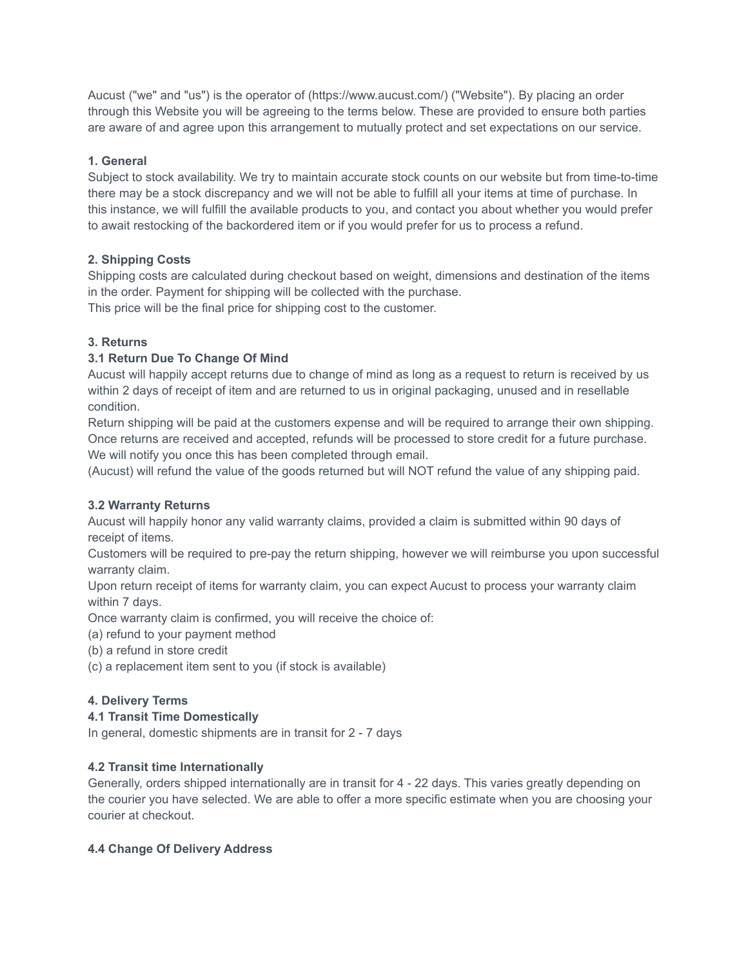Aucust ("we" and "us") is the operator of (https://www.aucust.com/) ("Website"). By placing an order through this Website you will be agreeing to the terms below. These are provided to ensure both parties are aware of and agree upon this arrangement to mutually protect and set expectations on our service.

## **1. General**

Subject to stock availability. We try to maintain accurate stock counts on our website but from time-to-time there may be a stock discrepancy and we will not be able to fulfill all your items at time of purchase. In this instance, we will fulfill the available products to you, and contact you about whether you would prefer to await restocking of the backordered item or if you would prefer for us to process a refund.

# **2. Shipping Costs**

Shipping costs are calculated during checkout based on weight, dimensions and destination of the items in the order. Payment for shipping will be collected with the purchase. This price will be the final price for shipping cost to the customer.

# **3. Returns**

# **3.1 Return Due To Change Of Mind**

Aucust will happily accept returns due to change of mind as long as a request to return is received by us within 2 days of receipt of item and are returned to us in original packaging, unused and in resellable condition.

Return shipping will be paid at the customers expense and will be required to arrange their own shipping. Once returns are received and accepted, refunds will be processed to store credit for a future purchase. We will notify you once this has been completed through email.

(Aucust) will refund the value of the goods returned but will NOT refund the value of any shipping paid.

## **3.2 Warranty Returns**

Aucust will happily honor any valid warranty claims, provided a claim is submitted within 90 days of receipt of items.

Customers will be required to pre-pay the return shipping, however we will reimburse you upon successful warranty claim.

Upon return receipt of items for warranty claim, you can expect Aucust to process your warranty claim within 7 days.

Once warranty claim is confirmed, you will receive the choice of:

(a) refund to your payment method

(b) a refund in store credit

(c) a replacement item sent to you (if stock is available)

## **4. Delivery Terms**

## **4.1 Transit Time Domestically**

In general, domestic shipments are in transit for 2 - 7 days

## **4.2 Transit time Internationally**

Generally, orders shipped internationally are in transit for 4 - 22 days. This varies greatly depending on the courier you have selected. We are able to offer a more specific estimate when you are choosing your courier at checkout.

## **4.4 Change Of Delivery Address**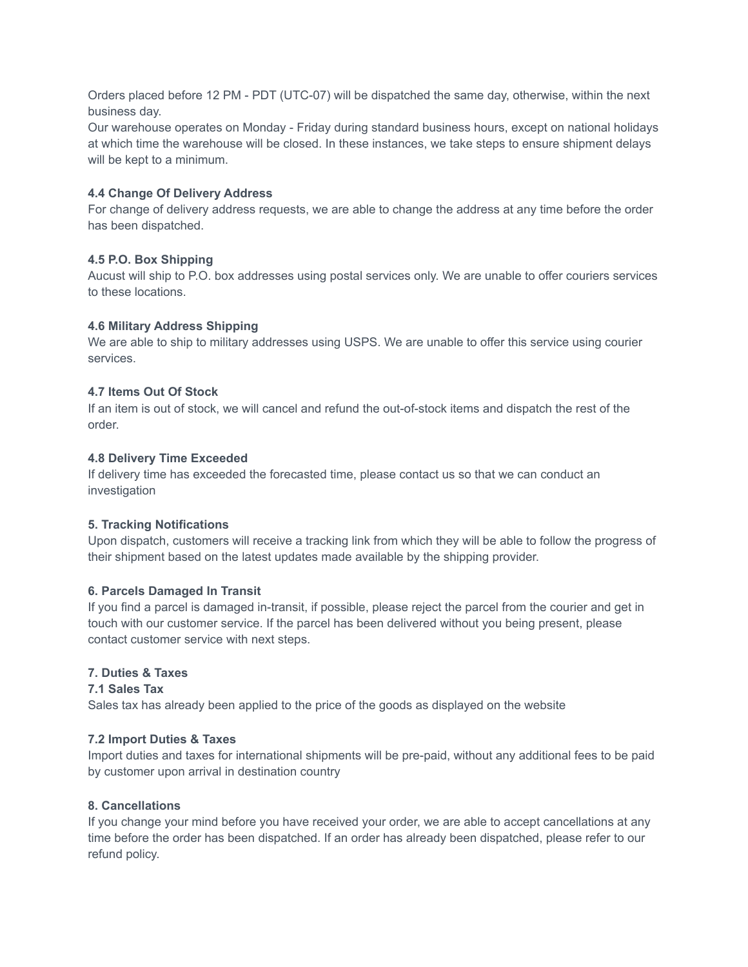Orders placed before 12 PM - PDT (UTC-07) will be dispatched the same day, otherwise, within the next business day.

Our warehouse operates on Monday - Friday during standard business hours, except on national holidays at which time the warehouse will be closed. In these instances, we take steps to ensure shipment delays will be kept to a minimum.

#### **4.4 Change Of Delivery Address**

For change of delivery address requests, we are able to change the address at any time before the order has been dispatched.

### **4.5 P.O. Box Shipping**

Aucust will ship to P.O. box addresses using postal services only. We are unable to offer couriers services to these locations.

### **4.6 Military Address Shipping**

We are able to ship to military addresses using USPS. We are unable to offer this service using courier services.

### **4.7 Items Out Of Stock**

If an item is out of stock, we will cancel and refund the out-of-stock items and dispatch the rest of the order.

### **4.8 Delivery Time Exceeded**

If delivery time has exceeded the forecasted time, please contact us so that we can conduct an investigation

#### **5. Tracking Notifications**

Upon dispatch, customers will receive a tracking link from which they will be able to follow the progress of their shipment based on the latest updates made available by the shipping provider.

#### **6. Parcels Damaged In Transit**

If you find a parcel is damaged in-transit, if possible, please reject the parcel from the courier and get in touch with our customer service. If the parcel has been delivered without you being present, please contact customer service with next steps.

## **7. Duties & Taxes**

#### **7.1 Sales Tax**

Sales tax has already been applied to the price of the goods as displayed on the website

## **7.2 Import Duties & Taxes**

Import duties and taxes for international shipments will be pre-paid, without any additional fees to be paid by customer upon arrival in destination country

## **8. Cancellations**

If you change your mind before you have received your order, we are able to accept cancellations at any time before the order has been dispatched. If an order has already been dispatched, please refer to our refund policy.